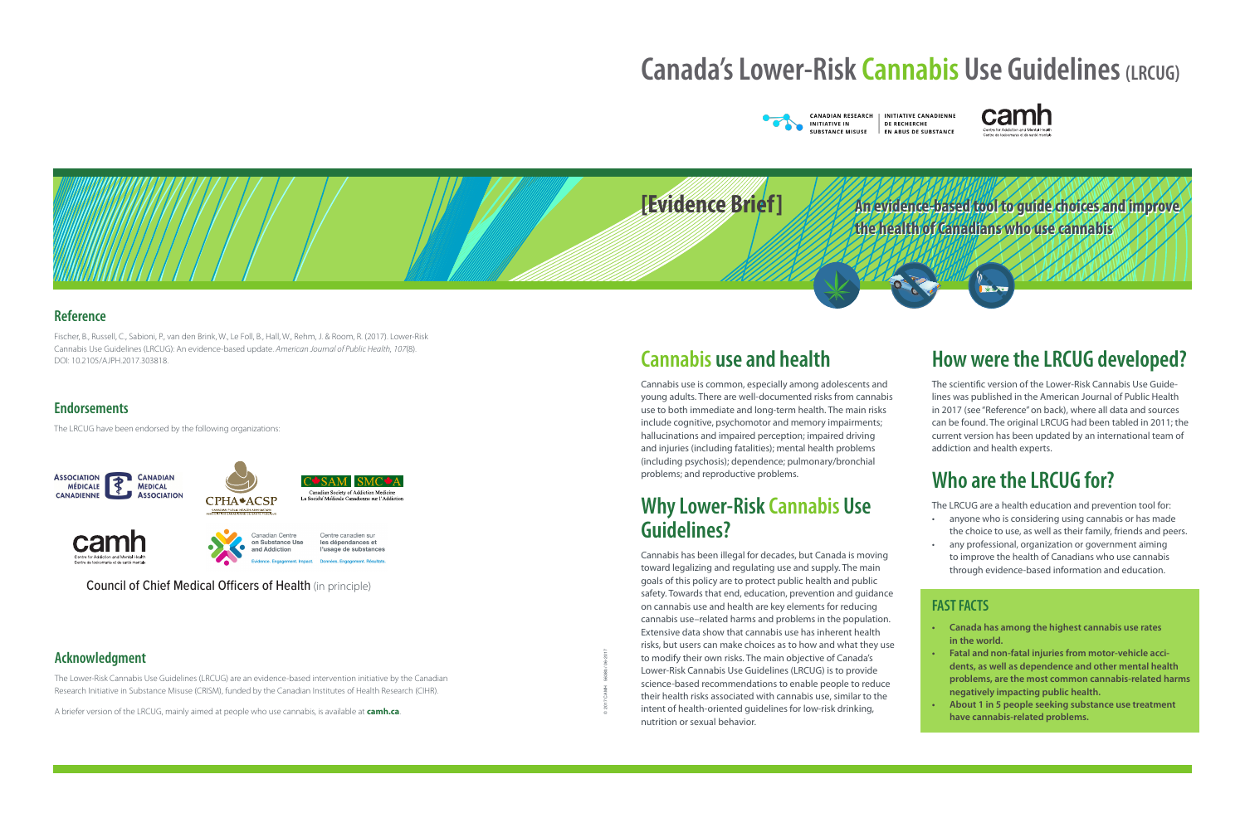**An evidence-based tool to guide choices and improve An evidence-based tool to guide choices and improve the health of Canadians who use cannabis the health of Canadians who use cannabis**

# **Canada's Lower-Risk Cannabis Use Guidelines (LRCUG)**





#### **Reference**

## **Cannabis use and health**

Cannabis use is common, especially among adolescents and young adults. There are well-documented risks from cannabis use to both immediate and long-term health. The main risks include cognitive, psychomotor and memory impairments; hallucinations and impaired perception; impaired driving and injuries (including fatalities); mental health problems (including psychosis); dependence; pulmonary/bronchial problems; and reproductive problems.

## **Why Lower-Risk Cannabis Use Guidelines?**

Cannabis has been illegal for decades, but Canada is moving toward legalizing and regulating use and supply. The main goals of this policy are to protect public health and public safety. Towards that end, education, prevention and guidance on cannabis use and health are key elements for reducing cannabis use–related harms and problems in the population. Extensive data show that cannabis use has inherent health risks, but users can make choices as to how and what they use to modify their own risks. The main objective of Canada's Lower-Risk Cannabis Use Guidelines (LRCUG) is to provide science-based recommendations to enable people to reduce their health risks associated with cannabis use, similar to the intent of health-oriented guidelines for low-risk drinking, nutrition or sexual behavior.

## **How were the LRCUG developed?**

The scientific version of the Lower-Risk Cannabis Use Guidelines was published in the American Journal of Public Health in 2017 (see "Reference" on back), where all data and sources can be found. The original LRCUG had been tabled in 2011; the current version has been updated by an international team of addiction and health experts.

## **Who are the LRCUG for?**

The LRCUG are a health education and prevention tool for:

- anyone who is considering using cannabis or has made the choice to use, as well as their family, friends and peers.
- any professional, organization or government aiming to improve the health of Canadians who use cannabis through evidence-based information and education.

### **FAST FACTS**

- **• Canada has among the highest cannabis use rates in the world.**
- **• Fatal and non-fatal injuries from motor-vehicle accidents, as well as dependence and other mental health problems, are the most common cannabis-related harms negatively impacting public health.**
- **• About 1 in 5 people seeking substance use treatment have cannabis-related problems.**

© 2017 CAMH 5638b / 06-2017

**INITIATIVE CANADIENNE** DE RECHERCHE **EN ABUS DE SUBSTANCE** 



Fischer, B., Russell, C., Sabioni, P., van den Brink, W., Le Foll, B., Hall, W., Rehm, J. & Room, R. (2017). Lower-Risk Cannabis Use Guidelines (LRCUG): An evidence-based update. *American Journal of Public Health, 107*(8). DOI: 10.2105/AJPH.2017.303818.

### **Endorsements**

### **Acknowledgment**

The Lower-Risk Cannabis Use Guidelines (LRCUG) are an evidence-based intervention initiative by the Canadian Research Initiative in Substance Misuse (CRISM), funded by the Canadian Institutes of Health Research (CIHR).

A briefer version of the LRCUG, mainly aimed at people who use cannabis, is available at **camh.ca**.

The LRCUG have been endorsed by the following organizations:











Council of Chief Medical Officers of Health (in principle)